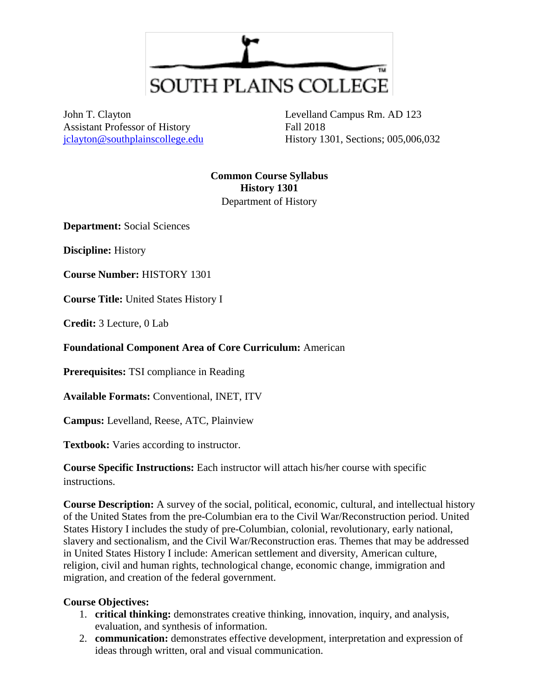

John T. Clayton Assistant Professor of History [jclayton@southplainscollege.edu](mailto:jclayton@southplainscollege.edu)

Levelland Campus Rm. AD 123 Fall 2018 History 1301, Sections; 005,006,032

**Common Course Syllabus History 1301** Department of History

**Department:** Social Sciences

**Discipline:** History

**Course Number:** HISTORY 1301

**Course Title:** United States History I

**Credit:** 3 Lecture, 0 Lab

**Foundational Component Area of Core Curriculum:** American

**Prerequisites:** TSI compliance in Reading

**Available Formats:** Conventional, INET, ITV

**Campus:** Levelland, Reese, ATC, Plainview

**Textbook:** Varies according to instructor.

**Course Specific Instructions:** Each instructor will attach his/her course with specific instructions.

**Course Description:** A survey of the social, political, economic, cultural, and intellectual history of the United States from the pre-Columbian era to the Civil War/Reconstruction period. United States History I includes the study of pre-Columbian, colonial, revolutionary, early national, slavery and sectionalism, and the Civil War/Reconstruction eras. Themes that may be addressed in United States History I include: American settlement and diversity, American culture, religion, civil and human rights, technological change, economic change, immigration and migration, and creation of the federal government.

#### **Course Objectives:**

- 1. **critical thinking:** demonstrates creative thinking, innovation, inquiry, and analysis, evaluation, and synthesis of information.
- 2. **communication:** demonstrates effective development, interpretation and expression of ideas through written, oral and visual communication.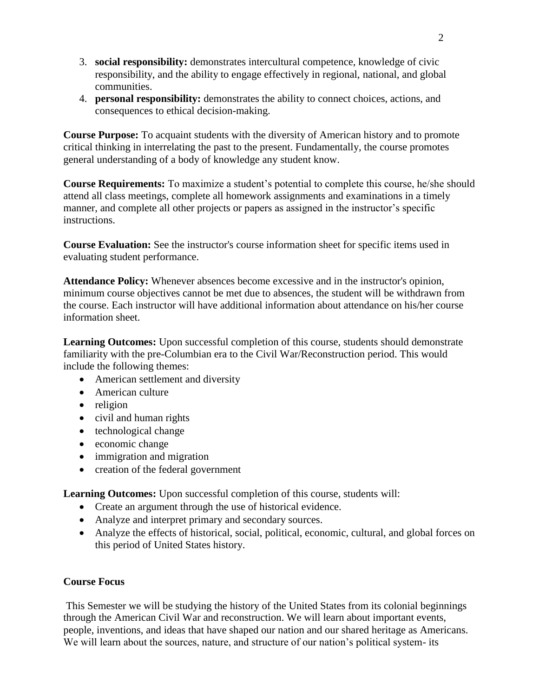- 3. **social responsibility:** demonstrates intercultural competence, knowledge of civic responsibility, and the ability to engage effectively in regional, national, and global communities.
- 4. **personal responsibility:** demonstrates the ability to connect choices, actions, and consequences to ethical decision-making.

**Course Purpose:** To acquaint students with the diversity of American history and to promote critical thinking in interrelating the past to the present. Fundamentally, the course promotes general understanding of a body of knowledge any student know.

**Course Requirements:** To maximize a student's potential to complete this course, he/she should attend all class meetings, complete all homework assignments and examinations in a timely manner, and complete all other projects or papers as assigned in the instructor's specific instructions.

**Course Evaluation:** See the instructor's course information sheet for specific items used in evaluating student performance.

**Attendance Policy:** Whenever absences become excessive and in the instructor's opinion, minimum course objectives cannot be met due to absences, the student will be withdrawn from the course. Each instructor will have additional information about attendance on his/her course information sheet.

**Learning Outcomes:** Upon successful completion of this course, students should demonstrate familiarity with the pre-Columbian era to the Civil War/Reconstruction period. This would include the following themes:

- American settlement and diversity
- American culture
- religion
- civil and human rights
- technological change
- economic change
- immigration and migration
- creation of the federal government

**Learning Outcomes:** Upon successful completion of this course, students will:

- Create an argument through the use of historical evidence.
- Analyze and interpret primary and secondary sources.
- Analyze the effects of historical, social, political, economic, cultural, and global forces on this period of United States history.

# **Course Focus**

This Semester we will be studying the history of the United States from its colonial beginnings through the American Civil War and reconstruction. We will learn about important events, people, inventions, and ideas that have shaped our nation and our shared heritage as Americans. We will learn about the sources, nature, and structure of our nation's political system- its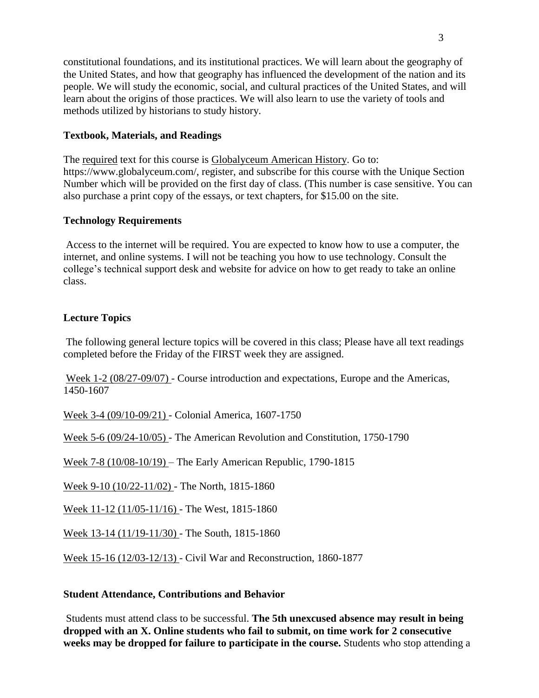constitutional foundations, and its institutional practices. We will learn about the geography of the United States, and how that geography has influenced the development of the nation and its people. We will study the economic, social, and cultural practices of the United States, and will learn about the origins of those practices. We will also learn to use the variety of tools and methods utilized by historians to study history.

## **Textbook, Materials, and Readings**

The required text for this course is Globalyceum American History. Go to: https://www.globalyceum.com/, register, and subscribe for this course with the Unique Section Number which will be provided on the first day of class. (This number is case sensitive. You can also purchase a print copy of the essays, or text chapters, for \$15.00 on the site.

## **Technology Requirements**

Access to the internet will be required. You are expected to know how to use a computer, the internet, and online systems. I will not be teaching you how to use technology. Consult the college's technical support desk and website for advice on how to get ready to take an online class.

## **Lecture Topics**

The following general lecture topics will be covered in this class; Please have all text readings completed before the Friday of the FIRST week they are assigned.

Week 1-2 (08/27-09/07) - Course introduction and expectations, Europe and the Americas, 1450-1607

Week 3-4 (09/10-09/21) - Colonial America, 1607-1750

Week 5-6 (09/24-10/05) - The American Revolution and Constitution, 1750-1790

Week 7-8 (10/08-10/19) – The Early American Republic, 1790-1815

Week 9-10 (10/22-11/02) - The North, 1815-1860

Week 11-12 (11/05-11/16) - The West, 1815-1860

Week 13-14 (11/19-11/30) - The South, 1815-1860

Week 15-16 (12/03-12/13) - Civil War and Reconstruction, 1860-1877

#### **Student Attendance, Contributions and Behavior**

Students must attend class to be successful. **The 5th unexcused absence may result in being dropped with an X. Online students who fail to submit, on time work for 2 consecutive weeks may be dropped for failure to participate in the course.** Students who stop attending a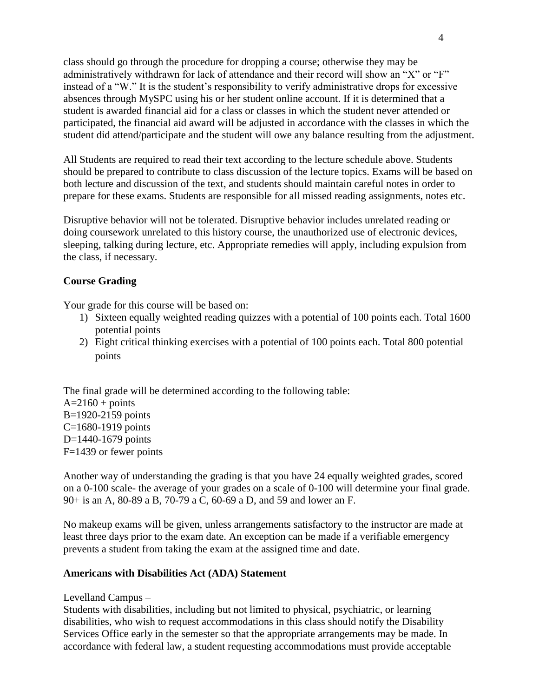class should go through the procedure for dropping a course; otherwise they may be administratively withdrawn for lack of attendance and their record will show an "X" or "F" instead of a "W." It is the student's responsibility to verify administrative drops for excessive absences through MySPC using his or her student online account. If it is determined that a student is awarded financial aid for a class or classes in which the student never attended or participated, the financial aid award will be adjusted in accordance with the classes in which the student did attend/participate and the student will owe any balance resulting from the adjustment.

All Students are required to read their text according to the lecture schedule above. Students should be prepared to contribute to class discussion of the lecture topics. Exams will be based on both lecture and discussion of the text, and students should maintain careful notes in order to prepare for these exams. Students are responsible for all missed reading assignments, notes etc.

Disruptive behavior will not be tolerated. Disruptive behavior includes unrelated reading or doing coursework unrelated to this history course, the unauthorized use of electronic devices, sleeping, talking during lecture, etc. Appropriate remedies will apply, including expulsion from the class, if necessary.

## **Course Grading**

Your grade for this course will be based on:

- 1) Sixteen equally weighted reading quizzes with a potential of 100 points each. Total 1600 potential points
- 2) Eight critical thinking exercises with a potential of 100 points each. Total 800 potential points

The final grade will be determined according to the following table:  $A=2160 + \text{points}$ B=1920-2159 points C=1680-1919 points D=1440-1679 points F=1439 or fewer points

Another way of understanding the grading is that you have 24 equally weighted grades, scored on a 0-100 scale- the average of your grades on a scale of 0-100 will determine your final grade. 90+ is an A, 80-89 a B, 70-79 a C, 60-69 a D, and 59 and lower an F.

No makeup exams will be given, unless arrangements satisfactory to the instructor are made at least three days prior to the exam date. An exception can be made if a verifiable emergency prevents a student from taking the exam at the assigned time and date.

#### **Americans with Disabilities Act (ADA) Statement**

Levelland Campus –

Students with disabilities, including but not limited to physical, psychiatric, or learning disabilities, who wish to request accommodations in this class should notify the Disability Services Office early in the semester so that the appropriate arrangements may be made. In accordance with federal law, a student requesting accommodations must provide acceptable